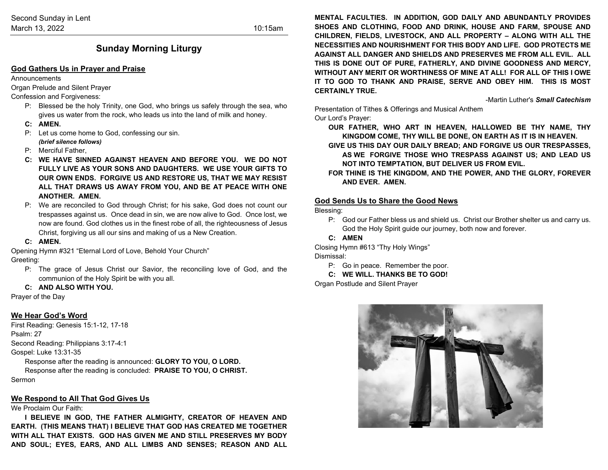## **Sunday Morning Liturgy**

#### **God Gathers Us in Prayer and Praise**

Announcements

Organ Prelude and Silent Prayer

Confession and Forgiveness:

- P: Blessed be the holy Trinity, one God, who brings us safely through the sea, who gives us water from the rock, who leads us into the land of milk and honey.
- **C: AMEN.**
- P: Let us come home to God, confessing our sin. *(brief silence follows)*
- P: Merciful Father,
- **C: WE HAVE SINNED AGAINST HEAVEN AND BEFORE YOU. WE DO NOT FULLY LIVE AS YOUR SONS AND DAUGHTERS. WE USE YOUR GIFTS TO OUR OWN ENDS. FORGIVE US AND RESTORE US, THAT WE MAY RESIST ALL THAT DRAWS US AWAY FROM YOU, AND BE AT PEACE WITH ONE ANOTHER. AMEN.**
- P: We are reconciled to God through Christ; for his sake, God does not count our trespasses against us. Once dead in sin, we are now alive to God. Once lost, we now are found. God clothes us in the finest robe of all, the righteousness of Jesus Christ, forgiving us all our sins and making of us a New Creation.
- **C: AMEN.**

Opening Hymn #321 "Eternal Lord of Love, Behold Your Church"

Greeting:

- P: The grace of Jesus Christ our Savior, the reconciling love of God, and the communion of the Holy Spirit be with you all.
- **C: AND ALSO WITH YOU.**

Prayer of the Day

### **We Hear God's Word**

First Reading: Genesis 15:1-12, 17-18 Psalm: 27 Second Reading: Philippians 3:17-4:1 Gospel: Luke 13:31-35 Response after the reading is announced: **GLORY TO YOU, O LORD.** Response after the reading is concluded: **PRAISE TO YOU, O CHRIST.**

Sermon

#### **We Respond to All That God Gives Us**

#### We Proclaim Our Faith:

**I BELIEVE IN GOD, THE FATHER ALMIGHTY, CREATOR OF HEAVEN AND EARTH. (THIS MEANS THAT) I BELIEVE THAT GOD HAS CREATED ME TOGETHER WITH ALL THAT EXISTS. GOD HAS GIVEN ME AND STILL PRESERVES MY BODY AND SOUL; EYES, EARS, AND ALL LIMBS AND SENSES; REASON AND ALL**  **MENTAL FACULTIES. IN ADDITION, GOD DAILY AND ABUNDANTLY PROVIDES SHOES AND CLOTHING, FOOD AND DRINK, HOUSE AND FARM, SPOUSE AND CHILDREN, FIELDS, LIVESTOCK, AND ALL PROPERTY – ALONG WITH ALL THE NECESSITIES AND NOURISHMENT FOR THIS BODY AND LIFE. GOD PROTECTS ME AGAINST ALL DANGER AND SHIELDS AND PRESERVES ME FROM ALL EVIL. ALL THIS IS DONE OUT OF PURE, FATHERLY, AND DIVINE GOODNESS AND MERCY, WITHOUT ANY MERIT OR WORTHINESS OF MINE AT ALL! FOR ALL OF THIS I OWE IT TO GOD TO THANK AND PRAISE, SERVE AND OBEY HIM. THIS IS MOST CERTAINLY TRUE.**

-Martin Luther's *Small Catechism*

Presentation of Tithes & Offerings and Musical Anthem

Our Lord's Prayer:

**OUR FATHER, WHO ART IN HEAVEN, HALLOWED BE THY NAME, THY KINGDOM COME, THY WILL BE DONE, ON EARTH AS IT IS IN HEAVEN.**

- **GIVE US THIS DAY OUR DAILY BREAD; AND FORGIVE US OUR TRESPASSES, AS WE FORGIVE THOSE WHO TRESPASS AGAINST US; AND LEAD US NOT INTO TEMPTATION, BUT DELIVER US FROM EVIL.**
- **FOR THINE IS THE KINGDOM, AND THE POWER, AND THE GLORY, FOREVER AND EVER. AMEN.**

#### **God Sends Us to Share the Good News**

Blessing:

- P: God our Father bless us and shield us. Christ our Brother shelter us and carry us. God the Holy Spirit guide our journey, both now and forever.
- **C: AMEN**

Closing Hymn #613 "Thy Holy Wings" Dismissal:

P: Go in peace. Remember the poor.

#### **C: WE WILL. THANKS BE TO GOD!**

Organ Postlude and Silent Prayer

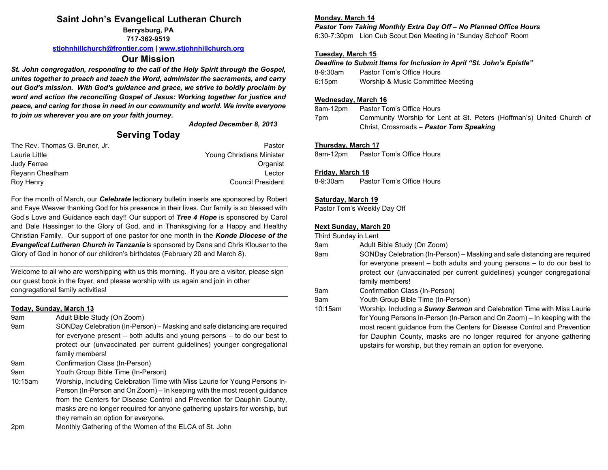## **Saint John's Evangelical Lutheran Church**

**Berrysburg, PA 717-362-9519**

**[stjohnhillchurch@frontier.com](mailto:stjohnhillchurch@frontier.com) | [www.stjohnhillchurch.org](http://www.stjohnhillchurch.org/)**

### **Our Mission**

*St. John congregation, responding to the call of the Holy Spirit through the Gospel, unites together to preach and teach the Word, administer the sacraments, and carry out God's mission. With God's guidance and grace, we strive to boldly proclaim by word and action the reconciling Gospel of Jesus: Working together for justice and peace, and caring for those in need in our community and world. We invite everyone to join us wherever you are on your faith journey.*

*Adopted December 8, 2013*

## **Serving Today**

| The Rev. Thomas G. Bruner, Jr. | Pastor                    |
|--------------------------------|---------------------------|
| Laurie Little                  | Young Christians Minister |
| Judy Ferree                    | Organist                  |
| Reyann Cheatham                | Lector                    |
| Roy Henry                      | Council President         |

For the month of March, our *Celebrate* lectionary bulletin inserts are sponsored by Robert and Faye Weaver thanking God for his presence in their lives. Our family is so blessed with God's Love and Guidance each day!! Our support of *Tree 4 Hope* is sponsored by Carol and Dale Hassinger to the Glory of God, and in Thanksgiving for a Happy and Healthy Christian Family. Our support of one pastor for one month in the *Konde Diocese of the Evangelical Lutheran Church in Tanzania* is sponsored by Dana and Chris Klouser to the Glory of God in honor of our children's birthdates (February 20 and March 8).

Welcome to all who are worshipping with us this morning. If you are a visitor, please sign our guest book in the foyer, and please worship with us again and join in other congregational family activities!

### **Today, Sunday, March 13**

- 9am Adult Bible Study (On Zoom)
- 9am SONDay Celebration (In-Person) Masking and safe distancing are required for everyone present – both adults and young persons – to do our best to protect our (unvaccinated per current guidelines) younger congregational family members!
- 9am Confirmation Class (In-Person)
- 9am Youth Group Bible Time (In-Person)
- 10:15am Worship, Including Celebration Time with Miss Laurie for Young Persons In-Person (In-Person and On Zoom) – In keeping with the most recent guidance from the Centers for Disease Control and Prevention for Dauphin County, masks are no longer required for anyone gathering upstairs for worship, but they remain an option for everyone.
- 2pm Monthly Gathering of the Women of the ELCA of St. John

### **Monday, March 14**

*Pastor Tom Taking Monthly Extra Day Off – No Planned Office Hours* 6:30-7:30pm Lion Cub Scout Den Meeting in "Sunday School" Room

### **Tuesday, March 15**

*Deadline to Submit Items for Inclusion in April "St. John's Epistle"* 8-9:30am Pastor Tom's Office Hours 6:15pm Worship & Music Committee Meeting

#### **Wednesday, March 16**

8am-12pm Pastor Tom's Office Hours 7pm Community Worship for Lent at St. Peters (Hoffman's) United Church of Christ, Crossroads – *Pastor Tom Speaking*

#### **Thursday, March 17**

8am-12pm Pastor Tom's Office Hours

#### **Friday, March 18**

8-9:30am Pastor Tom's Office Hours

#### **Saturday, March 19**

Pastor Tom's Weekly Day Off

### **Next Sunday, March 20**

Third Sunday in Lent

- 9am Adult Bible Study (On Zoom)
- 9am SONDay Celebration (In-Person) Masking and safe distancing are required for everyone present – both adults and young persons – to do our best to protect our (unvaccinated per current guidelines) younger congregational family members!

9am Confirmation Class (In-Person)

9am Youth Group Bible Time (In-Person)

10:15am Worship, Including a *Sunny Sermon* and Celebration Time with Miss Laurie for Young Persons In-Person (In-Person and On Zoom) – In keeping with the most recent guidance from the Centers for Disease Control and Prevention for Dauphin County, masks are no longer required for anyone gathering upstairs for worship, but they remain an option for everyone.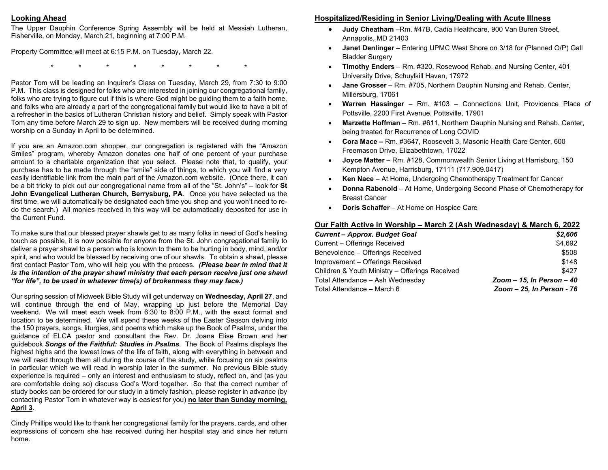#### **Looking Ahead**

The Upper Dauphin Conference Spring Assembly will be held at Messiah Lutheran, Fisherville, on Monday, March 21, beginning at 7:00 P.M.

Property Committee will meet at 6:15 P.M. on Tuesday, March 22.

\* \* \* \* \* \* \* \*

Pastor Tom will be leading an Inquirer's Class on Tuesday, March 29, from 7:30 to 9:00 P.M. This class is designed for folks who are interested in joining our congregational family, folks who are trying to figure out if this is where God might be guiding them to a faith home, and folks who are already a part of the congregational family but would like to have a bit of a refresher in the basics of Lutheran Christian history and belief. Simply speak with Pastor Tom any time before March 29 to sign up. New members will be received during morning worship on a Sunday in April to be determined.

If you are an Amazon.com shopper, our congregation is registered with the "Amazon Smiles" program, whereby Amazon donates one half of one percent of your purchase amount to a charitable organization that you select. Please note that, to qualify, your purchase has to be made through the "smile" side of things, to which you will find a very easily identifiable link from the main part of the Amazon.com website. (Once there, it can be a bit tricky to pick out our congregational name from all of the "St. John's" – look for **St John Evangelical Lutheran Church, Berrysburg, PA**. Once you have selected us the first time, we will automatically be designated each time you shop and you won't need to redo the search.) All monies received in this way will be automatically deposited for use in the Current Fund.

To make sure that our blessed prayer shawls get to as many folks in need of God's healing touch as possible, it is now possible for anyone from the St. John congregational family to deliver a prayer shawl to a person who is known to them to be hurting in body, mind, and/or spirit, and who would be blessed by receiving one of our shawls. To obtain a shawl, please first contact Pastor Tom, who will help you with the process. *(Please bear in mind that it is the intention of the prayer shawl ministry that each person receive just one shawl "for life", to be used in whatever time(s) of brokenness they may face.)*

Our spring session of Midweek Bible Study will get underway on **Wednesday, April 27**, and will continue through the end of May, wrapping up just before the Memorial Day weekend. We will meet each week from 6:30 to 8:00 P.M., with the exact format and location to be determined. We will spend these weeks of the Easter Season delving into the 150 prayers, songs, liturgies, and poems which make up the Book of Psalms, under the guidance of ELCA pastor and consultant the Rev. Dr. Joana Elise Brown and her guidebook *Songs of the Faithful: Studies in Psalms*. The Book of Psalms displays the highest highs and the lowest lows of the life of faith, along with everything in between and we will read through them all during the course of the study, while focusing on six psalms in particular which we will read in worship later in the summer. No previous Bible study experience is required – only an interest and enthusiasm to study, reflect on, and (as you are comfortable doing so) discuss God's Word together. So that the correct number of study books can be ordered for our study in a timely fashion, please register in advance (by contacting Pastor Tom in whatever way is easiest for you) **no later than Sunday morning, April 3**.

Cindy Phillips would like to thank her congregational family for the prayers, cards, and other expressions of concern she has received during her hospital stay and since her return home.

## **Hospitalized/Residing in Senior Living/Dealing with Acute Illness**

- **Judy Cheatham** –Rm. #47B, Cadia Healthcare, 900 Van Buren Street, Annapolis, MD 21403
- **Janet Denlinger**  Entering UPMC West Shore on 3/18 for (Planned O/P) Gall Bladder Surgery
- **Timothy Enders**  Rm. #320, Rosewood Rehab. and Nursing Center, 401 University Drive, Schuylkill Haven, 17972
- **Jane Grosser**  Rm. #705, Northern Dauphin Nursing and Rehab. Center, Millersburg, 17061
- **Warren Hassinger** Rm. #103 Connections Unit, Providence Place of Pottsville, 2200 First Avenue, Pottsville, 17901
- **Marzette Hoffman**  Rm. #611, Northern Dauphin Nursing and Rehab. Center, being treated for Recurrence of Long COVID
- **Cora Mace –** Rm. #3647, Roosevelt 3, Masonic Health Care Center, 600 Freemason Drive, Elizabethtown, 17022
- **Joyce Matter**  Rm. #128, Commonwealth Senior Living at Harrisburg, 150 Kempton Avenue, Harrisburg, 17111 (717.909.0417)
- **Ken Nace**  At Home, Undergoing Chemotherapy Treatment for Cancer
- **Donna Rabenold**  At Home, Undergoing Second Phase of Chemotherapy for Breast Cancer
- **Doris Schaffer**  At Home on Hospice Care

### **Our Faith Active in Worship – March 2 (Ash Wednesday) & March 6, 2022**

| <b>Current - Approx. Budget Goal</b>           | \$2,606                   |
|------------------------------------------------|---------------------------|
| Current - Offerings Received                   | \$4.692                   |
| Benevolence - Offerings Received               | \$508                     |
| Improvement - Offerings Received               | \$148                     |
| Children & Youth Ministry - Offerings Received | \$427                     |
| Total Attendance - Ash Wednesday               | Zoom - 15, In Person - 40 |
| Total Attendance - March 6                     | Zoom - 25, In Person - 76 |
|                                                |                           |